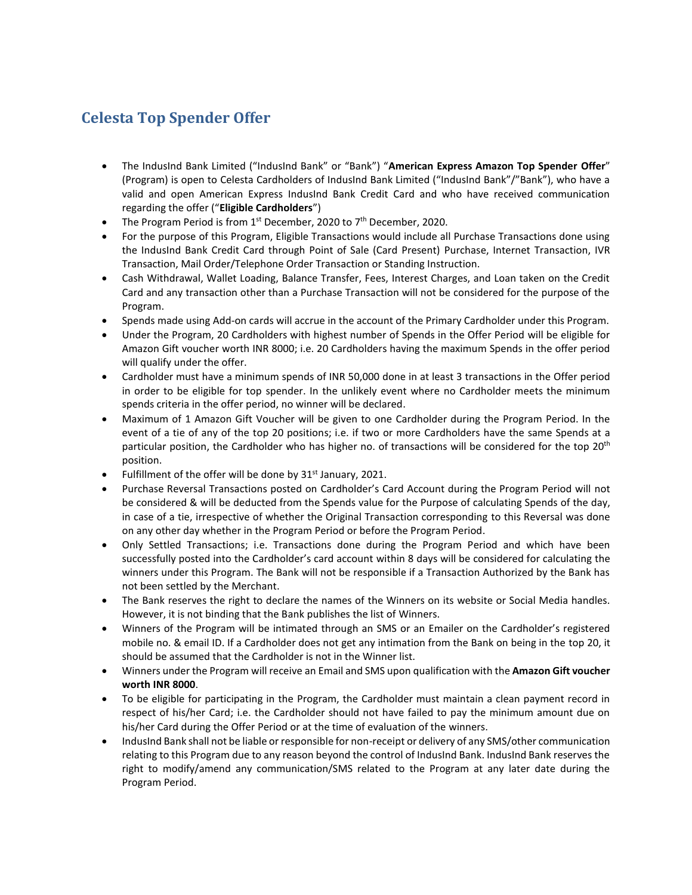## **Celesta Top Spender Offer**

- The IndusInd Bank Limited ("IndusInd Bank" or "Bank") "**American Express Amazon Top Spender Offer**" (Program) is open to Celesta Cardholders of IndusInd Bank Limited ("IndusInd Bank"/"Bank"), who have a valid and open American Express IndusInd Bank Credit Card and who have received communication regarding the offer ("**Eligible Cardholders**")
- The Program Period is from  $1<sup>st</sup>$  December, 2020 to  $7<sup>th</sup>$  December, 2020.
- For the purpose of this Program, Eligible Transactions would include all Purchase Transactions done using the IndusInd Bank Credit Card through Point of Sale (Card Present) Purchase, Internet Transaction, IVR Transaction, Mail Order/Telephone Order Transaction or Standing Instruction.
- Cash Withdrawal, Wallet Loading, Balance Transfer, Fees, Interest Charges, and Loan taken on the Credit Card and any transaction other than a Purchase Transaction will not be considered for the purpose of the Program.
- Spends made using Add-on cards will accrue in the account of the Primary Cardholder under this Program.
- Under the Program, 20 Cardholders with highest number of Spends in the Offer Period will be eligible for Amazon Gift voucher worth INR 8000; i.e. 20 Cardholders having the maximum Spends in the offer period will qualify under the offer.
- Cardholder must have a minimum spends of INR 50,000 done in at least 3 transactions in the Offer period in order to be eligible for top spender. In the unlikely event where no Cardholder meets the minimum spends criteria in the offer period, no winner will be declared.
- Maximum of 1 Amazon Gift Voucher will be given to one Cardholder during the Program Period. In the event of a tie of any of the top 20 positions; i.e. if two or more Cardholders have the same Spends at a particular position, the Cardholder who has higher no. of transactions will be considered for the top 20<sup>th</sup> position.
- Fulfillment of the offer will be done by  $31<sup>st</sup>$  January, 2021.
- Purchase Reversal Transactions posted on Cardholder's Card Account during the Program Period will not be considered & will be deducted from the Spends value for the Purpose of calculating Spends of the day, in case of a tie, irrespective of whether the Original Transaction corresponding to this Reversal was done on any other day whether in the Program Period or before the Program Period.
- Only Settled Transactions; i.e. Transactions done during the Program Period and which have been successfully posted into the Cardholder's card account within 8 days will be considered for calculating the winners under this Program. The Bank will not be responsible if a Transaction Authorized by the Bank has not been settled by the Merchant.
- The Bank reserves the right to declare the names of the Winners on its website or Social Media handles. However, it is not binding that the Bank publishes the list of Winners.
- Winners of the Program will be intimated through an SMS or an Emailer on the Cardholder's registered mobile no. & email ID. If a Cardholder does not get any intimation from the Bank on being in the top 20, it should be assumed that the Cardholder is not in the Winner list.
- Winners under the Program will receive an Email and SMS upon qualification with the **Amazon Gift voucher worth INR 8000**.
- To be eligible for participating in the Program, the Cardholder must maintain a clean payment record in respect of his/her Card; i.e. the Cardholder should not have failed to pay the minimum amount due on his/her Card during the Offer Period or at the time of evaluation of the winners.
- IndusInd Bank shall not be liable or responsible for non-receipt or delivery of any SMS/other communication relating to this Program due to any reason beyond the control of IndusInd Bank. IndusInd Bank reserves the right to modify/amend any communication/SMS related to the Program at any later date during the Program Period.